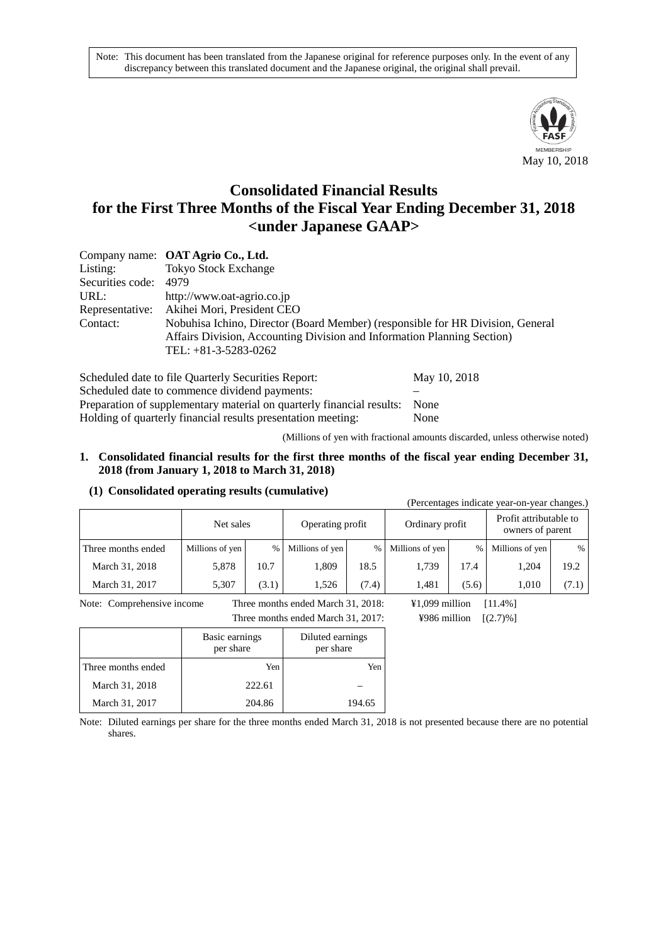Note: This document has been translated from the Japanese original for reference purposes only. In the event of any discrepancy between this translated document and the Japanese original, the original shall prevail.



# **Consolidated Financial Results for the First Three Months of the Fiscal Year Ending December 31, 2018 <under Japanese GAAP>**

|                       | Company name: OAT Agrio Co., Ltd.                                                                                                                                                   |
|-----------------------|-------------------------------------------------------------------------------------------------------------------------------------------------------------------------------------|
| Listing:              | <b>Tokyo Stock Exchange</b>                                                                                                                                                         |
| Securities code: 4979 |                                                                                                                                                                                     |
| URL:                  | http://www.oat-agrio.co.jp                                                                                                                                                          |
|                       | Representative: Akihei Mori, President CEO                                                                                                                                          |
| Contact:              | Nobuhisa Ichino, Director (Board Member) (responsible for HR Division, General<br>Affairs Division, Accounting Division and Information Planning Section)<br>TEL: $+81-3-5283-0262$ |

| Scheduled date to file Quarterly Securities Report:                   | May 10, 2018 |
|-----------------------------------------------------------------------|--------------|
| Scheduled date to commence dividend payments:                         |              |
| Preparation of supplementary material on quarterly financial results: | <b>None</b>  |
| Holding of quarterly financial results presentation meeting:          | None         |

(Millions of yen with fractional amounts discarded, unless otherwise noted)

#### **1. Consolidated financial results for the first three months of the fiscal year ending December 31, 2018 (from January 1, 2018 to March 31, 2018)**

#### **(1) Consolidated operating results (cumulative)**

| (Percentages indicate year-on-year changes.) |                               |       |                 |       |                                            |               |                 |       |
|----------------------------------------------|-------------------------------|-------|-----------------|-------|--------------------------------------------|---------------|-----------------|-------|
|                                              | Operating profit<br>Net sales |       | Ordinary profit |       | Profit attributable to<br>owners of parent |               |                 |       |
| Three months ended                           | Millions of yen               | %     | Millions of yen | $\%$  | Millions of yen                            | $\frac{0}{0}$ | Millions of yen | $\%$  |
| March 31, 2018                               | 5,878                         | 10.7  | 1.809           | 18.5  | 1,739                                      | 17.4          | 1,204           | 19.2  |
| March 31, 2017                               | 5,307                         | (3.1) | 1.526           | (7.4) | 1.481                                      | (5.6)         | 1.010           | (7.1) |

Note: Comprehensive income Three months ended March 31, 2018: ¥1,099 million [11.4%] Three months ended March 31, 2017: ¥986 million [(2.7)%]

|                    | Basic earnings<br>per share | Diluted earnings<br>per share |
|--------------------|-----------------------------|-------------------------------|
| Three months ended | Yen                         | Yen                           |
| March 31, 2018     | 222.61                      |                               |
| March 31, 2017     | 204.86                      | 194.65                        |

Note: Diluted earnings per share for the three months ended March 31, 2018 is not presented because there are no potential shares.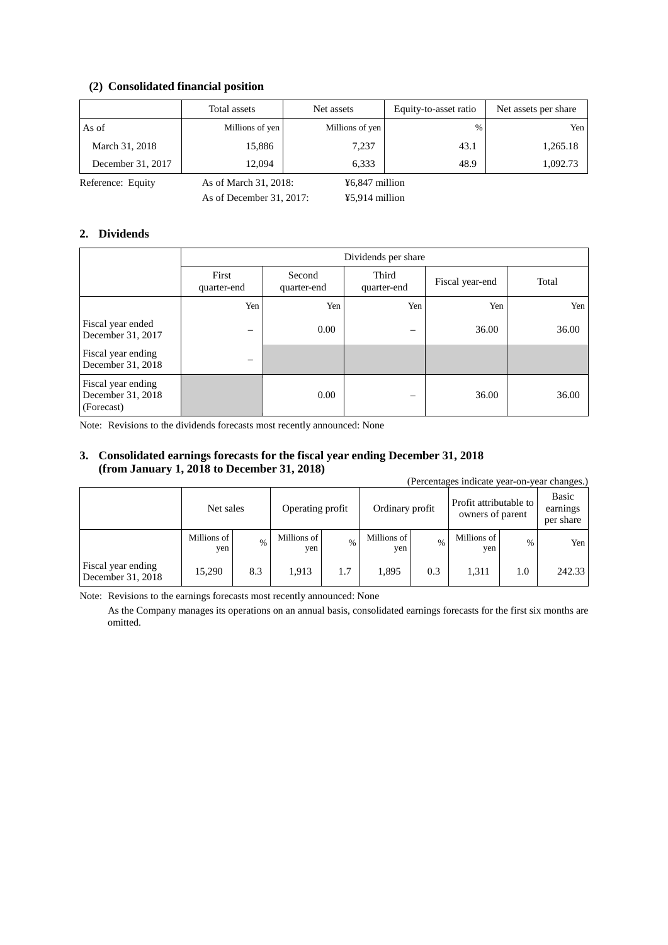## **(2) Consolidated financial position**

|                   | Total assets          | Net assets      | Equity-to-asset ratio | Net assets per share |
|-------------------|-----------------------|-----------------|-----------------------|----------------------|
| As of             | Millions of yen       | Millions of yen | $\%$                  | Yen                  |
| March 31, 2018    | 15,886                | 7,237           | 43.1                  | 1,265.18             |
| December 31, 2017 | 12.094                | 6.333           | 48.9                  | 1,092.73             |
| Reference: Equity | As of March 31, 2018: | ¥6,847 million  |                       |                      |

As of December 31, 2017: ¥5,914 million

#### **2. Dividends**

|                                                       | Dividends per share                           |      |                      |                 |       |  |
|-------------------------------------------------------|-----------------------------------------------|------|----------------------|-----------------|-------|--|
|                                                       | First<br>Second<br>quarter-end<br>quarter-end |      | Third<br>quarter-end | Fiscal year-end | Total |  |
|                                                       | Yen                                           | Yen  | Yen                  | Yen             | Yen   |  |
| Fiscal year ended<br>December 31, 2017                |                                               | 0.00 |                      | 36.00           | 36.00 |  |
| Fiscal year ending<br>December 31, 2018               | –                                             |      |                      |                 |       |  |
| Fiscal year ending<br>December 31, 2018<br>(Forecast) |                                               | 0.00 |                      | 36.00           | 36.00 |  |

Note: Revisions to the dividends forecasts most recently announced: None

### **3. Consolidated earnings forecasts for the fiscal year ending December 31, 2018 (from January 1, 2018 to December 31, 2018)**

(Percentages indicate year-on-year changes.)

|                                         | Net sales          |               | Operating profit   |               | Ordinary profit    |               | Profit attributable to<br>owners of parent |               | Basic<br>earnings<br>per share |
|-----------------------------------------|--------------------|---------------|--------------------|---------------|--------------------|---------------|--------------------------------------------|---------------|--------------------------------|
|                                         | Millions of<br>ven | $\frac{0}{0}$ | Millions of<br>yen | $\frac{0}{0}$ | Millions of<br>yen | $\frac{0}{0}$ | Millions of<br>yen                         | $\frac{0}{0}$ | Yen                            |
| Fiscal year ending<br>December 31, 2018 | 15.290             | 8.3           | 1,913              | 1.7           | 1.895              | 0.3           | 1,311                                      | 1.0           | 242.33                         |

Note: Revisions to the earnings forecasts most recently announced: None

As the Company manages its operations on an annual basis, consolidated earnings forecasts for the first six months are omitted.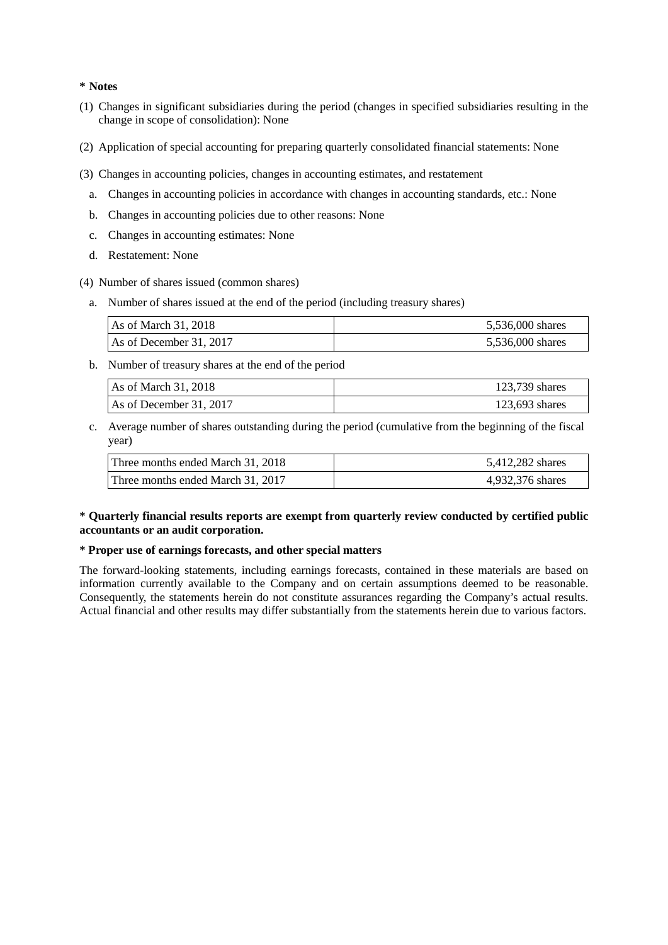#### **\* Notes**

- (1) Changes in significant subsidiaries during the period (changes in specified subsidiaries resulting in the change in scope of consolidation): None
- (2) Application of special accounting for preparing quarterly consolidated financial statements: None
- (3) Changes in accounting policies, changes in accounting estimates, and restatement
	- a. Changes in accounting policies in accordance with changes in accounting standards, etc.: None
	- b. Changes in accounting policies due to other reasons: None
	- c. Changes in accounting estimates: None
	- d. Restatement: None
- (4) Number of shares issued (common shares)
	- a. Number of shares issued at the end of the period (including treasury shares)

| $\text{As of March } 31, 2018$ | 5,536,000 shares |
|--------------------------------|------------------|
| As of December 31, 2017        | 5,536,000 shares |

b. Number of treasury shares at the end of the period

| As of March 31, 2018    | 123,739 shares   |  |  |
|-------------------------|------------------|--|--|
| As of December 31, 2017 | $123,693$ shares |  |  |

c. Average number of shares outstanding during the period (cumulative from the beginning of the fiscal year)

| Three months ended March 31, 2018 | 5,412,282 shares |
|-----------------------------------|------------------|
| Three months ended March 31, 2017 | 4.932.376 shares |

## **\* Quarterly financial results reports are exempt from quarterly review conducted by certified public accountants or an audit corporation.**

#### **\* Proper use of earnings forecasts, and other special matters**

The forward-looking statements, including earnings forecasts, contained in these materials are based on information currently available to the Company and on certain assumptions deemed to be reasonable. Consequently, the statements herein do not constitute assurances regarding the Company's actual results. Actual financial and other results may differ substantially from the statements herein due to various factors.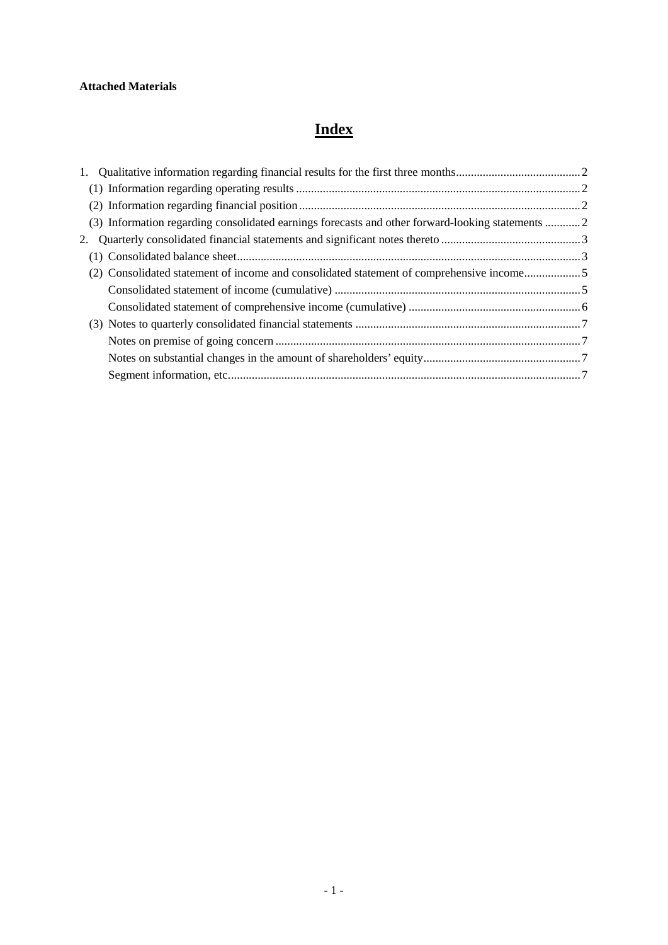# **Attached Materials**

# **Index**

| (3) Information regarding consolidated earnings forecasts and other forward-looking statements  2 |  |
|---------------------------------------------------------------------------------------------------|--|
|                                                                                                   |  |
|                                                                                                   |  |
| (2) Consolidated statement of income and consolidated statement of comprehensive income5          |  |
|                                                                                                   |  |
|                                                                                                   |  |
|                                                                                                   |  |
|                                                                                                   |  |
|                                                                                                   |  |
|                                                                                                   |  |
|                                                                                                   |  |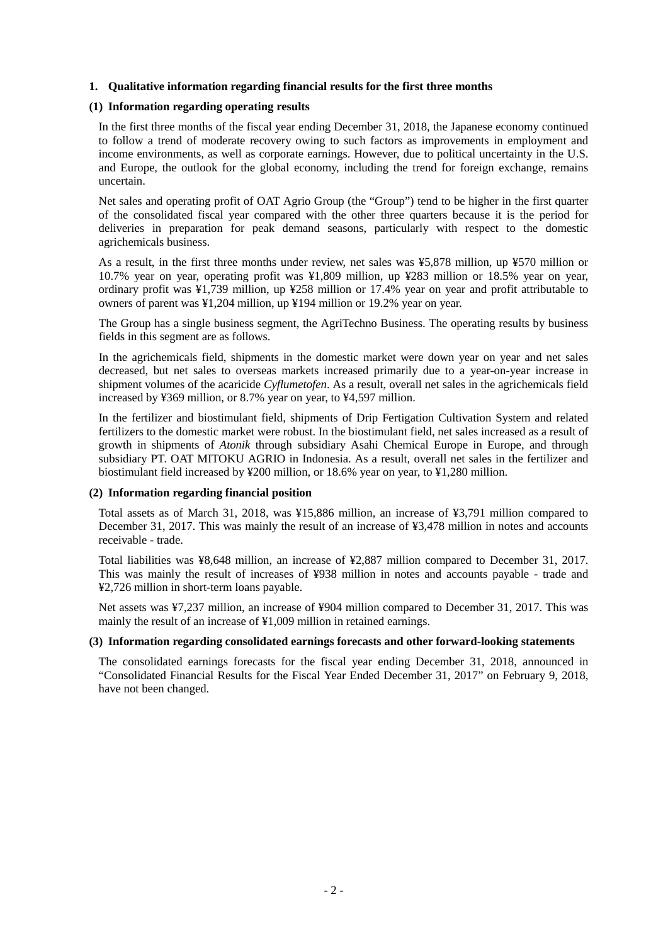### <span id="page-4-0"></span>**1. Qualitative information regarding financial results for the first three months**

#### <span id="page-4-1"></span>**(1) Information regarding operating results**

In the first three months of the fiscal year ending December 31, 2018, the Japanese economy continued to follow a trend of moderate recovery owing to such factors as improvements in employment and income environments, as well as corporate earnings. However, due to political uncertainty in the U.S. and Europe, the outlook for the global economy, including the trend for foreign exchange, remains uncertain.

Net sales and operating profit of OAT Agrio Group (the "Group") tend to be higher in the first quarter of the consolidated fiscal year compared with the other three quarters because it is the period for deliveries in preparation for peak demand seasons, particularly with respect to the domestic agrichemicals business.

As a result, in the first three months under review, net sales was ¥5,878 million, up ¥570 million or 10.7% year on year, operating profit was ¥1,809 million, up ¥283 million or 18.5% year on year, ordinary profit was ¥1,739 million, up ¥258 million or 17.4% year on year and profit attributable to owners of parent was ¥1,204 million, up ¥194 million or 19.2% year on year.

The Group has a single business segment, the AgriTechno Business. The operating results by business fields in this segment are as follows.

In the agrichemicals field, shipments in the domestic market were down year on year and net sales decreased, but net sales to overseas markets increased primarily due to a year-on-year increase in shipment volumes of the acaricide *Cyflumetofen*. As a result, overall net sales in the agrichemicals field increased by ¥369 million, or 8.7% year on year, to ¥4,597 million.

In the fertilizer and biostimulant field, shipments of Drip Fertigation Cultivation System and related fertilizers to the domestic market were robust. In the biostimulant field, net sales increased as a result of growth in shipments of *Atonik* through subsidiary Asahi Chemical Europe in Europe, and through subsidiary PT. OAT MITOKU AGRIO in Indonesia. As a result, overall net sales in the fertilizer and biostimulant field increased by ¥200 million, or 18.6% year on year, to ¥1,280 million.

#### <span id="page-4-2"></span>**(2) Information regarding financial position**

Total assets as of March 31, 2018, was ¥15,886 million, an increase of ¥3,791 million compared to December 31, 2017. This was mainly the result of an increase of ¥3,478 million in notes and accounts receivable - trade.

Total liabilities was ¥8,648 million, an increase of ¥2,887 million compared to December 31, 2017. This was mainly the result of increases of ¥938 million in notes and accounts payable - trade and ¥2,726 million in short-term loans payable.

Net assets was ¥7,237 million, an increase of ¥904 million compared to December 31, 2017. This was mainly the result of an increase of ¥1,009 million in retained earnings.

#### <span id="page-4-3"></span>**(3) Information regarding consolidated earnings forecasts and other forward-looking statements**

The consolidated earnings forecasts for the fiscal year ending December 31, 2018, announced in "Consolidated Financial Results for the Fiscal Year Ended December 31, 2017" on February 9, 2018, have not been changed.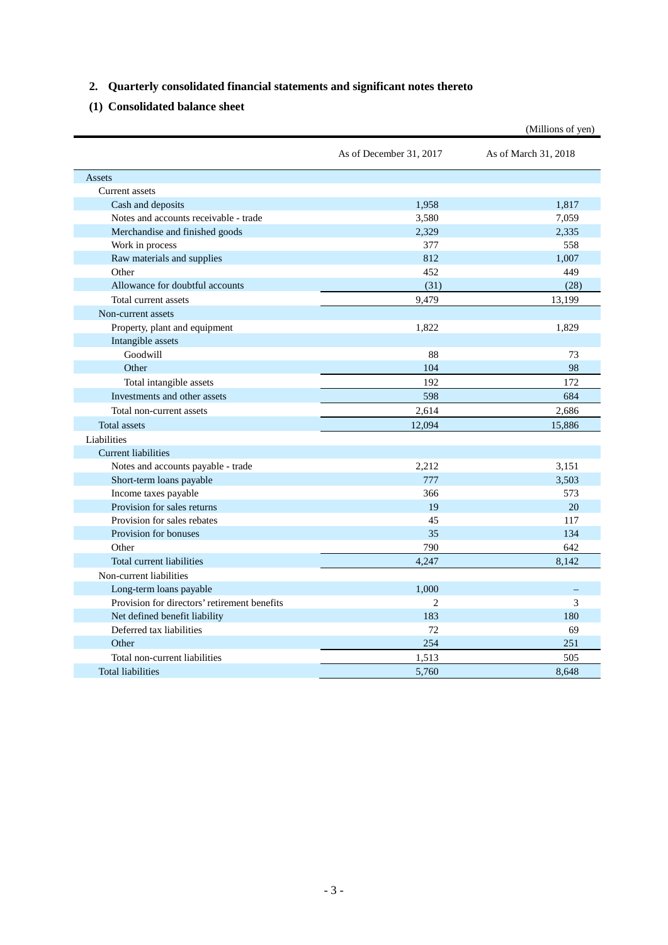# <span id="page-5-0"></span>**2. Quarterly consolidated financial statements and significant notes thereto**

# <span id="page-5-1"></span>**(1) Consolidated balance sheet**

|                                              |                         | (Millions of yen)    |
|----------------------------------------------|-------------------------|----------------------|
|                                              | As of December 31, 2017 | As of March 31, 2018 |
| Assets                                       |                         |                      |
| Current assets                               |                         |                      |
| Cash and deposits                            | 1,958                   | 1,817                |
| Notes and accounts receivable - trade        | 3,580                   | 7,059                |
| Merchandise and finished goods               | 2,329                   | 2,335                |
| Work in process                              | 377                     | 558                  |
| Raw materials and supplies                   | 812                     | 1,007                |
| Other                                        | 452                     | 449                  |
| Allowance for doubtful accounts              | (31)                    | (28)                 |
| Total current assets                         | 9,479                   | 13,199               |
| Non-current assets                           |                         |                      |
| Property, plant and equipment                | 1,822                   | 1,829                |
| Intangible assets                            |                         |                      |
| Goodwill                                     | 88                      | 73                   |
| Other                                        | 104                     | 98                   |
| Total intangible assets                      | 192                     | 172                  |
| Investments and other assets                 | 598                     | 684                  |
| Total non-current assets                     | 2,614                   | 2,686                |
| <b>Total</b> assets                          | 12,094                  | 15,886               |
| Liabilities                                  |                         |                      |
| <b>Current liabilities</b>                   |                         |                      |
| Notes and accounts payable - trade           | 2,212                   | 3,151                |
| Short-term loans payable                     | 777                     | 3,503                |
| Income taxes payable                         | 366                     | 573                  |
| Provision for sales returns                  | 19                      | 20                   |
| Provision for sales rebates                  | 45                      | 117                  |
| Provision for bonuses                        | 35                      | 134                  |
| Other                                        | 790                     | 642                  |
| Total current liabilities                    | 4,247                   | 8,142                |
| Non-current liabilities                      |                         |                      |
| Long-term loans payable                      | 1,000                   |                      |
| Provision for directors' retirement benefits | $\overline{2}$          | 3                    |
| Net defined benefit liability                | 183                     | 180                  |
| Deferred tax liabilities                     | 72                      | 69                   |
| Other                                        | 254                     | 251                  |
| Total non-current liabilities                | 1,513                   | 505                  |
| <b>Total liabilities</b>                     | 5,760                   | 8.648                |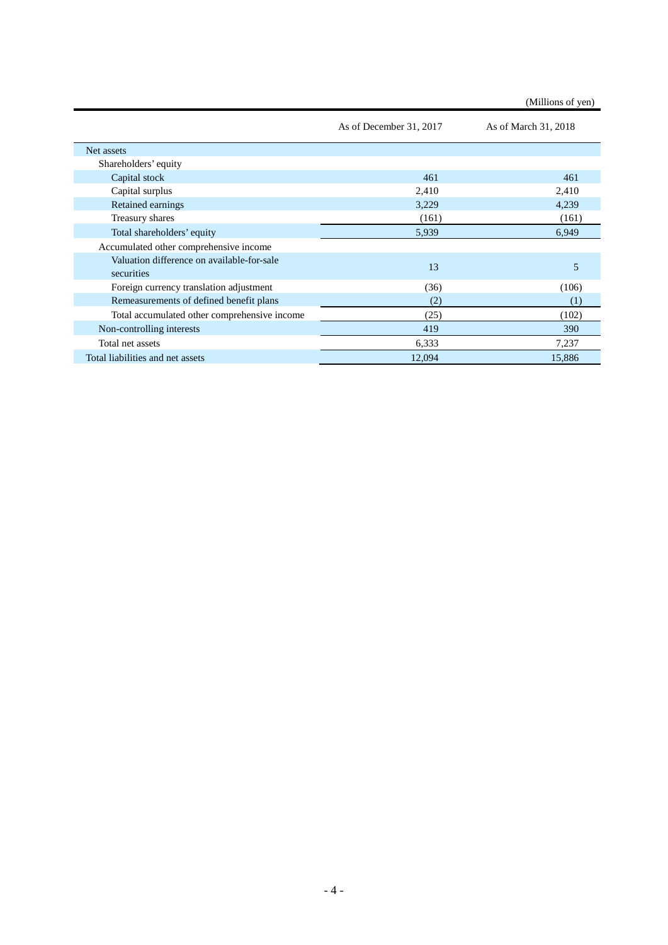(Millions of yen)

|                                                          | As of December 31, 2017 | As of March 31, 2018 |
|----------------------------------------------------------|-------------------------|----------------------|
| Net assets                                               |                         |                      |
| Shareholders' equity                                     |                         |                      |
| Capital stock                                            | 461                     | 461                  |
| Capital surplus                                          | 2,410                   | 2,410                |
| Retained earnings                                        | 3,229                   | 4,239                |
| Treasury shares                                          | (161)                   | (161)                |
| Total shareholders' equity                               | 5,939                   | 6,949                |
| Accumulated other comprehensive income                   |                         |                      |
| Valuation difference on available-for-sale<br>securities | 13                      | 5                    |
| Foreign currency translation adjustment                  | (36)                    | (106)                |
| Remeasurements of defined benefit plans                  | (2)                     | (1)                  |
| Total accumulated other comprehensive income             | (25)                    | (102)                |
| Non-controlling interests                                | 419                     | 390                  |
| Total net assets                                         | 6,333                   | 7,237                |
| Total liabilities and net assets                         | 12,094                  | 15,886               |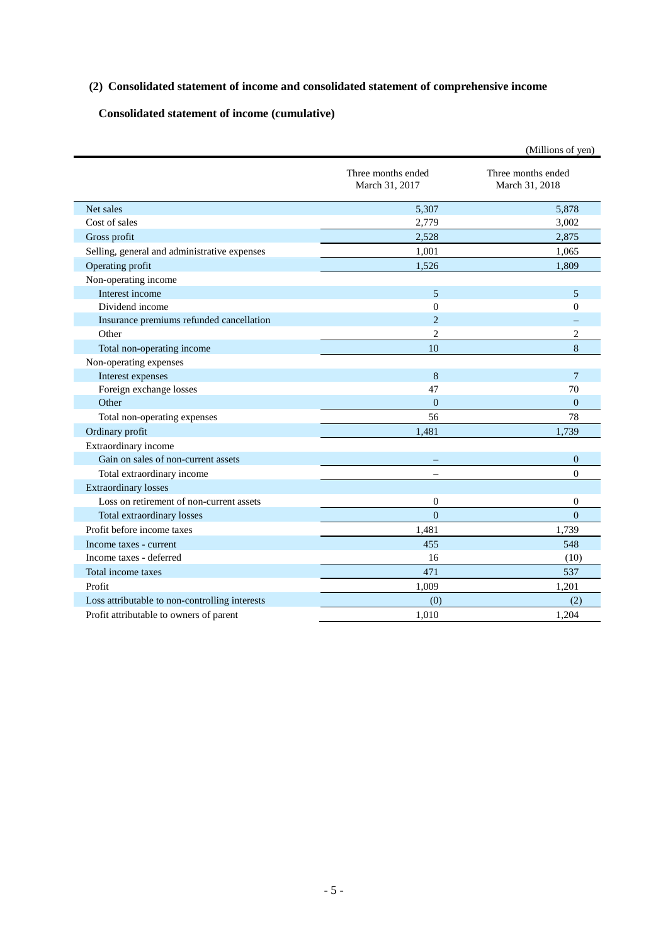# <span id="page-7-0"></span>**(2) Consolidated statement of income and consolidated statement of comprehensive income**

# <span id="page-7-1"></span>**Consolidated statement of income (cumulative)**

|                                                |                                      | (Millions of yen)                    |
|------------------------------------------------|--------------------------------------|--------------------------------------|
|                                                | Three months ended<br>March 31, 2017 | Three months ended<br>March 31, 2018 |
| Net sales                                      | 5,307                                | 5.878                                |
| Cost of sales                                  | 2,779                                | 3,002                                |
| Gross profit                                   | 2.528                                | 2.875                                |
| Selling, general and administrative expenses   | 1,001                                | 1,065                                |
| Operating profit                               | 1,526                                | 1,809                                |
| Non-operating income                           |                                      |                                      |
| Interest income                                | 5                                    | 5                                    |
| Dividend income                                | $\theta$                             | $\mathbf{0}$                         |
| Insurance premiums refunded cancellation       | $\overline{2}$                       |                                      |
| Other                                          | $\overline{2}$                       | $\overline{2}$                       |
| Total non-operating income                     | 10                                   | 8                                    |
| Non-operating expenses                         |                                      |                                      |
| Interest expenses                              | 8                                    | $\overline{7}$                       |
| Foreign exchange losses                        | 47                                   | 70                                   |
| Other                                          | $\overline{0}$                       | $\overline{0}$                       |
| Total non-operating expenses                   | 56                                   | 78                                   |
| Ordinary profit                                | 1,481                                | 1,739                                |
| Extraordinary income                           |                                      |                                      |
| Gain on sales of non-current assets            |                                      | $\mathbf{0}$                         |
| Total extraordinary income                     |                                      | $\theta$                             |
| <b>Extraordinary losses</b>                    |                                      |                                      |
| Loss on retirement of non-current assets       | $\overline{0}$                       | $\mathbf{0}$                         |
| Total extraordinary losses                     | $\theta$                             | $\theta$                             |
| Profit before income taxes                     | 1,481                                | 1,739                                |
| Income taxes - current                         | 455                                  | 548                                  |
| Income taxes - deferred                        | 16                                   | (10)                                 |
| Total income taxes                             | 471                                  | 537                                  |
| Profit                                         | 1,009                                | 1,201                                |
| Loss attributable to non-controlling interests | (0)                                  | (2)                                  |
| Profit attributable to owners of parent        | 1,010                                | 1,204                                |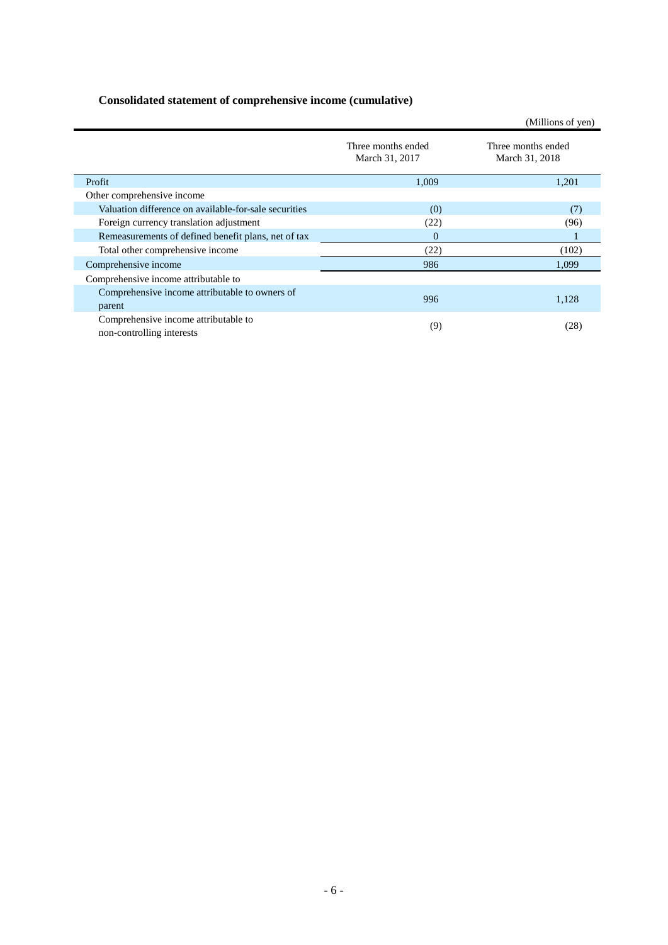# <span id="page-8-0"></span>**Consolidated statement of comprehensive income (cumulative)**

|                                                                   |                                      | (Millions of yen)                    |
|-------------------------------------------------------------------|--------------------------------------|--------------------------------------|
|                                                                   | Three months ended<br>March 31, 2017 | Three months ended<br>March 31, 2018 |
| Profit                                                            | 1,009                                | 1,201                                |
| Other comprehensive income                                        |                                      |                                      |
| Valuation difference on available-for-sale securities             | (0)                                  | (7)                                  |
| Foreign currency translation adjustment                           | (22)                                 | (96)                                 |
| Remeasurements of defined benefit plans, net of tax               | $\Omega$                             |                                      |
| Total other comprehensive income                                  | (22)                                 | (102)                                |
| Comprehensive income                                              | 986                                  | 1,099                                |
| Comprehensive income attributable to                              |                                      |                                      |
| Comprehensive income attributable to owners of<br>parent          | 996                                  | 1,128                                |
| Comprehensive income attributable to<br>non-controlling interests | (9)                                  | (28)                                 |